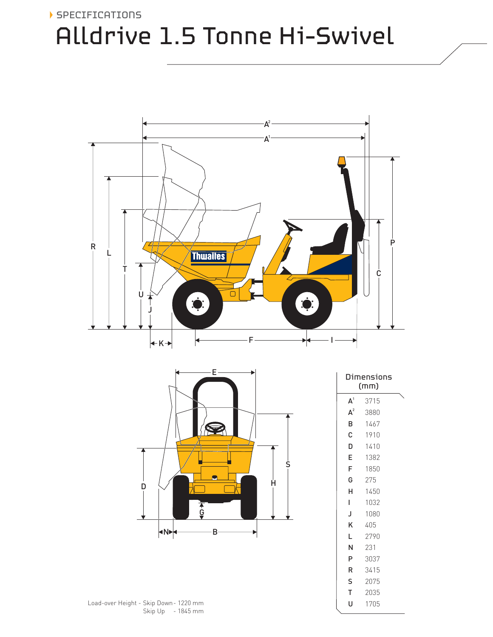

# Alldrive 1.5 Tonne Hi-Swivel





| Dimensions<br>(mm) |      |  |
|--------------------|------|--|
| A <sup>1</sup>     | 3715 |  |
| $\mathbf{A}^2$     | 3880 |  |
| B                  | 1467 |  |
| Ċ                  | 1910 |  |
| D                  | 1410 |  |
| E                  | 1382 |  |
| F                  | 1850 |  |
| G                  | 275  |  |
| н                  | 1450 |  |
| I                  | 1032 |  |
| J                  | 1080 |  |
| Κ                  | 405  |  |
| L                  | 2790 |  |
| N                  | 231  |  |
| P                  | 3037 |  |
| R                  | 3415 |  |
| S                  | 2075 |  |
| т                  | 2035 |  |
| U                  | 1705 |  |